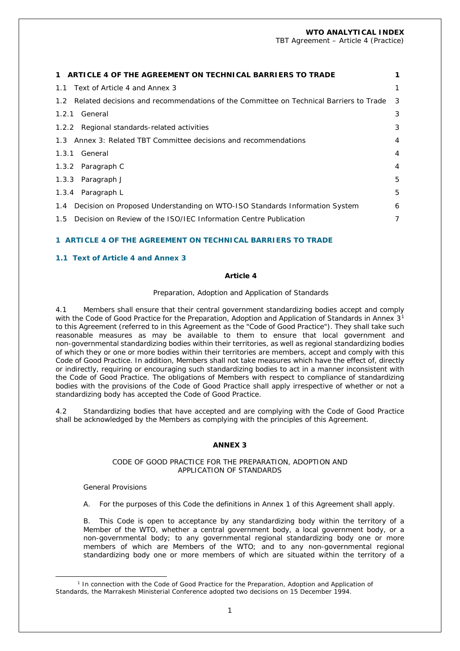# **WTO ANALYTICAL INDEX**

TBT Agreement – Article 4 (Practice)

| ARTICLE 4 OF THE AGREEMENT ON TECHNICAL BARRIERS TO TRADE                                    |    |
|----------------------------------------------------------------------------------------------|----|
| Text of Article 4 and Annex 3<br>1.1                                                         | 1  |
| Related decisions and recommendations of the Committee on Technical Barriers to Trade<br>1.2 | -3 |
| General<br>1.2.1                                                                             | 3  |
| 1.2.2 Regional standards-related activities                                                  | 3  |
| Annex 3: Related TBT Committee decisions and recommendations<br>1.3                          | 4  |
| General<br>1.3.1                                                                             | 4  |
| 1.3.2 Paragraph C                                                                            | 4  |
| 1.3.3 Paragraph J                                                                            | 5  |
| 1.3.4 Paragraph L                                                                            | 5  |
| Decision on Proposed Understanding on WTO-ISO Standards Information System<br>1.4            | 6  |
| Decision on Review of the ISO/IEC Information Centre Publication<br>1.5                      | 7  |

# <span id="page-0-0"></span>**1 ARTICLE 4 OF THE AGREEMENT ON TECHNICAL BARRIERS TO TRADE**

# <span id="page-0-1"></span>**1.1 Text of Article 4 and Annex 3**

#### *Article 4*

### *Preparation, Adoption and Application of Standards*

4.1 Members shall ensure that their central government standardizing bodies accept and comply with the Code of Good Practice for the Preparation, Adoption and Application of Standards in Annex 3<sup>1</sup> to this Agreement (referred to in this Agreement as the "Code of Good Practice"). They shall take such reasonable measures as may be available to them to ensure that local government and non-governmental standardizing bodies within their territories, as well as regional standardizing bodies of which they or one or more bodies within their territories are members, accept and comply with this Code of Good Practice. In addition, Members shall not take measures which have the effect of, directly or indirectly, requiring or encouraging such standardizing bodies to act in a manner inconsistent with the Code of Good Practice. The obligations of Members with respect to compliance of standardizing bodies with the provisions of the Code of Good Practice shall apply irrespective of whether or not a standardizing body has accepted the Code of Good Practice.

4.2 Standardizing bodies that have accepted and are complying with the Code of Good Practice shall be acknowledged by the Members as complying with the principles of this Agreement.

#### **ANNEX 3**

### CODE OF GOOD PRACTICE FOR THE PREPARATION, ADOPTION AND APPLICATION OF STANDARDS

#### *General Provisions*

A. For the purposes of this Code the definitions in Annex 1 of this Agreement shall apply.

B. This Code is open to acceptance by any standardizing body within the territory of a Member of the WTO, whether a central government body, a local government body, or a non-governmental body; to any governmental regional standardizing body one or more members of which are Members of the WTO; and to any non-governmental regional standardizing body one or more members of which are situated within the territory of a

<span id="page-0-2"></span><sup>&</sup>lt;sup>1</sup> In connection with the Code of Good Practice for the Preparation, Adoption and Application of Standards, the Marrakesh Ministerial Conference adopted two decisions on 15 December 1994.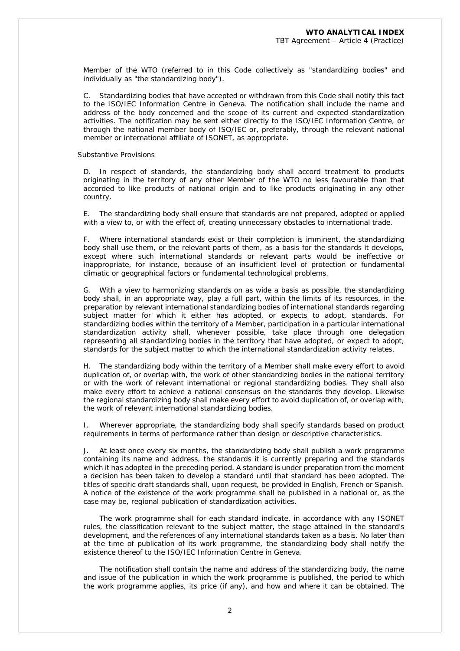Member of the WTO (referred to in this Code collectively as "standardizing bodies" and individually as "the standardizing body").

C. Standardizing bodies that have accepted or withdrawn from this Code shall notify this fact to the ISO/IEC Information Centre in Geneva. The notification shall include the name and address of the body concerned and the scope of its current and expected standardization activities. The notification may be sent either directly to the ISO/IEC Information Centre, or through the national member body of ISO/IEC or, preferably, through the relevant national member or international affiliate of ISONET, as appropriate.

#### *Substantive Provisions*

D. In respect of standards, the standardizing body shall accord treatment to products originating in the territory of any other Member of the WTO no less favourable than that accorded to like products of national origin and to like products originating in any other country.

E. The standardizing body shall ensure that standards are not prepared, adopted or applied with a view to, or with the effect of, creating unnecessary obstacles to international trade.

F. Where international standards exist or their completion is imminent, the standardizing body shall use them, or the relevant parts of them, as a basis for the standards it develops, except where such international standards or relevant parts would be ineffective or inappropriate, for instance, because of an insufficient level of protection or fundamental climatic or geographical factors or fundamental technological problems.

G. With a view to harmonizing standards on as wide a basis as possible, the standardizing body shall, in an appropriate way, play a full part, within the limits of its resources, in the preparation by relevant international standardizing bodies of international standards regarding subject matter for which it either has adopted, or expects to adopt, standards. For standardizing bodies within the territory of a Member, participation in a particular international standardization activity shall, whenever possible, take place through one delegation representing all standardizing bodies in the territory that have adopted, or expect to adopt, standards for the subject matter to which the international standardization activity relates.

H. The standardizing body within the territory of a Member shall make every effort to avoid duplication of, or overlap with, the work of other standardizing bodies in the national territory or with the work of relevant international or regional standardizing bodies. They shall also make every effort to achieve a national consensus on the standards they develop. Likewise the regional standardizing body shall make every effort to avoid duplication of, or overlap with, the work of relevant international standardizing bodies.

I. Wherever appropriate, the standardizing body shall specify standards based on product requirements in terms of performance rather than design or descriptive characteristics.

At least once every six months, the standardizing body shall publish a work programme containing its name and address, the standards it is currently preparing and the standards which it has adopted in the preceding period. A standard is under preparation from the moment a decision has been taken to develop a standard until that standard has been adopted. The titles of specific draft standards shall, upon request, be provided in English, French or Spanish. A notice of the existence of the work programme shall be published in a national or, as the case may be, regional publication of standardization activities.

The work programme shall for each standard indicate, in accordance with any ISONET rules, the classification relevant to the subject matter, the stage attained in the standard's development, and the references of any international standards taken as a basis. No later than at the time of publication of its work programme, the standardizing body shall notify the existence thereof to the ISO/IEC Information Centre in Geneva.

The notification shall contain the name and address of the standardizing body, the name and issue of the publication in which the work programme is published, the period to which the work programme applies, its price (if any), and how and where it can be obtained. The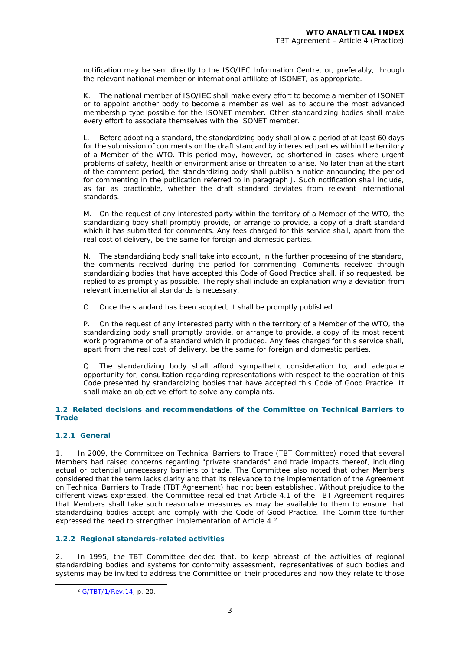notification may be sent directly to the ISO/IEC Information Centre, or, preferably, through the relevant national member or international affiliate of ISONET, as appropriate.

K. The national member of ISO/IEC shall make every effort to become a member of ISONET or to appoint another body to become a member as well as to acquire the most advanced membership type possible for the ISONET member. Other standardizing bodies shall make every effort to associate themselves with the ISONET member.

Before adopting a standard, the standardizing body shall allow a period of at least 60 days for the submission of comments on the draft standard by interested parties within the territory of a Member of the WTO. This period may, however, be shortened in cases where urgent problems of safety, health or environment arise or threaten to arise. No later than at the start of the comment period, the standardizing body shall publish a notice announcing the period for commenting in the publication referred to in paragraph J. Such notification shall include, as far as practicable, whether the draft standard deviates from relevant international standards.

M. On the request of any interested party within the territory of a Member of the WTO, the standardizing body shall promptly provide, or arrange to provide, a copy of a draft standard which it has submitted for comments. Any fees charged for this service shall, apart from the real cost of delivery, be the same for foreign and domestic parties.

N. The standardizing body shall take into account, in the further processing of the standard, the comments received during the period for commenting. Comments received through standardizing bodies that have accepted this Code of Good Practice shall, if so requested, be replied to as promptly as possible. The reply shall include an explanation why a deviation from relevant international standards is necessary.

O. Once the standard has been adopted, it shall be promptly published.

P. On the request of any interested party within the territory of a Member of the WTO, the standardizing body shall promptly provide, or arrange to provide, a copy of its most recent work programme or of a standard which it produced. Any fees charged for this service shall, apart from the real cost of delivery, be the same for foreign and domestic parties.

Q. The standardizing body shall afford sympathetic consideration to, and adequate opportunity for, consultation regarding representations with respect to the operation of this Code presented by standardizing bodies that have accepted this Code of Good Practice. It shall make an objective effort to solve any complaints.

<span id="page-2-0"></span>**1.2 Related decisions and recommendations of the Committee on Technical Barriers to Trade**

## <span id="page-2-1"></span>**1.2.1 General**

1. In 2009, the Committee on Technical Barriers to Trade (TBT Committee) noted that several Members had raised concerns regarding "private standards" and trade impacts thereof, including actual or potential unnecessary barriers to trade. The Committee also noted that other Members considered that the term lacks clarity and that its relevance to the implementation of the Agreement on Technical Barriers to Trade (TBT Agreement) had not been established. Without prejudice to the different views expressed, the Committee recalled that Article 4.1 of the TBT Agreement requires that Members shall take such reasonable measures as may be available to them to ensure that standardizing bodies accept and comply with the Code of Good Practice. The Committee further expressed the need to strengthen implementation of Article 4.[2](#page-2-3)

# <span id="page-2-2"></span>**1.2.2 Regional standards-related activities**

<span id="page-2-3"></span>2. In 1995, the TBT Committee decided that, to keep abreast of the activities of regional standardizing bodies and systems for conformity assessment, representatives of such bodies and systems may be invited to address the Committee on their procedures and how they relate to those

<sup>2</sup> [G/TBT/1/Rev.14,](https://www.google.com/url?sa=t&rct=j&q=&esrc=s&source=web&cd=&ved=2ahUKEwi8sfvK9-fwAhVNtaQKHfx2BJIQFjABegQIBRAD&url=https%3A%2F%2Fdocs.wto.org%2Fdol2fe%2FPages%2FSS%2Fdirectdoc.aspx%3Ffilename%3Dq%3A%2FG%2FTBT%2F1R14.pdf&usg=AOvVaw1s1kCM0hNn9QifnXiFJNmO) p. 20.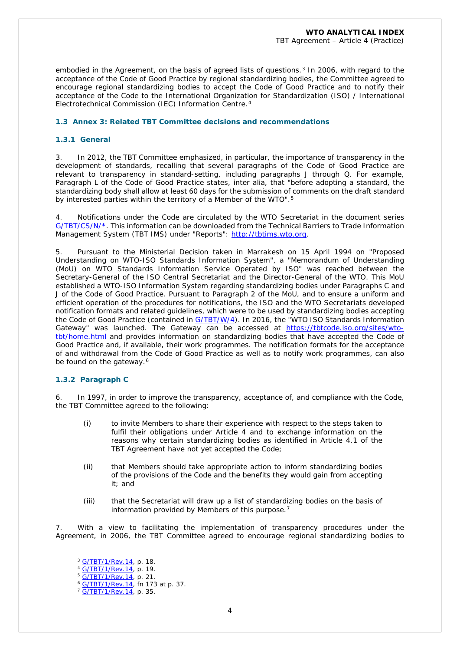embodied in the Agreement, on the basis of agreed lists of questions.<sup>[3](#page-3-3)</sup> In 2006, with regard to the acceptance of the Code of Good Practice by regional standardizing bodies, the Committee agreed to encourage regional standardizing bodies to accept the Code of Good Practice and to notify their acceptance of the Code to the International Organization for Standardization (ISO) / International Electrotechnical Commission (IEC) Information Centre.[4](#page-3-4)

## <span id="page-3-0"></span>**1.3 Annex 3: Related TBT Committee decisions and recommendations**

# <span id="page-3-1"></span>**1.3.1 General**

3. In 2012, the TBT Committee emphasized, in particular, the importance of transparency in the development of standards, recalling that several paragraphs of the Code of Good Practice are relevant to transparency in standard-setting, including paragraphs J through Q. For example, Paragraph L of the Code of Good Practice states, *inter alia*, that "before adopting a standard, the standardizing body shall allow at least 60 days for the submission of comments on the draft standard by interested parties within the territory of a Member of the WTO".<sup>[5](#page-3-5)</sup>

4. Notifications under the Code are circulated by the WTO Secretariat in the document series [G/TBT/CS/N/\\*.](https://docs.wto.org/dol2fe/Pages/FE_Search/FE_S_S006.aspx?MetaCollection=WTO&SymbolList=G%2fTBT%2fCS%2fN%2f*&Serial=&IssuingDateFrom=&IssuingDateTo=&CATTITLE=&ConcernedCountryList=&OtherCountryList=&SubjectList=&TypeList=&FullTextHash=371857150&ProductList=&BodyList=&OrganizationList=&ArticleList=&Contents=&CollectionList=&RestrictionTypeName=&PostingDateFrom=&PostingDateTo=&DerestrictionDateFrom=&DerestrictionDateTo=&ReferenceList=&Language=ENGLISH&SearchPage=FE_S_S001&ActiveTabIndex=0&languageUIChanged=true) This information can be downloaded from the Technical Barriers to Trade Information Management System (TBT IMS) under "Reports": [http://tbtims.wto.org.](http://tbtims.wto.org/)

5. Pursuant to the Ministerial Decision taken in Marrakesh on 15 April 1994 on "Proposed Understanding on WTO-ISO Standards Information System", a "Memorandum of Understanding (MoU) on WTO Standards Information Service Operated by ISO" was reached between the Secretary-General of the ISO Central Secretariat and the Director-General of the WTO. This MoU established a WTO-ISO Information System regarding standardizing bodies under Paragraphs C and J of the Code of Good Practice. Pursuant to Paragraph 2 of the MoU, and to ensure a uniform and efficient operation of the procedures for notifications, the ISO and the WTO Secretariats developed notification formats and related guidelines, which were to be used by standardizing bodies accepting the Code of Good Practice (contained in  $G/TBT/W/4$ ). In 2016, the "WTO ISO Standards Information Gateway" was launched. The Gateway can be accessed at [https://tbtcode.iso.org/sites/wto](https://tbtcode.iso.org/sites/wto-tbt/home.html)[tbt/home.html](https://tbtcode.iso.org/sites/wto-tbt/home.html) and provides information on standardizing bodies that have accepted the Code of Good Practice and, if available, their work programmes. The notification formats for the acceptance of and withdrawal from the Code of Good Practice as well as to notify work programmes, can also be found on the gateway.<sup>[6](#page-3-6)</sup>

# <span id="page-3-2"></span>**1.3.2 Paragraph C**

6. In 1997, in order to improve the transparency, acceptance of, and compliance with the Code, the TBT Committee agreed to the following:

- (i) to invite Members to share their experience with respect to the steps taken to fulfil their obligations under Article 4 and to exchange information on the reasons why certain standardizing bodies as identified in Article 4.1 of the TBT Agreement have not yet accepted the Code;
- (ii) that Members should take appropriate action to inform standardizing bodies of the provisions of the Code and the benefits they would gain from accepting it; and
- (iii) that the Secretariat will draw up a list of standardizing bodies on the basis of information provided by Members of this purpose.<sup>[7](#page-3-7)</sup>

<span id="page-3-5"></span><span id="page-3-4"></span><span id="page-3-3"></span>7. With a view to facilitating the implementation of transparency procedures under the Agreement, in 2006, the TBT Committee agreed to encourage regional standardizing bodies to

<sup>&</sup>lt;sup>3</sup> [G/TBT/1/Rev.14,](https://www.google.com/url?sa=t&rct=j&q=&esrc=s&source=web&cd=&ved=2ahUKEwi8sfvK9-fwAhVNtaQKHfx2BJIQFjABegQIBRAD&url=https%3A%2F%2Fdocs.wto.org%2Fdol2fe%2FPages%2FSS%2Fdirectdoc.aspx%3Ffilename%3Dq%3A%2FG%2FTBT%2F1R14.pdf&usg=AOvVaw1s1kCM0hNn9QifnXiFJNmO) p. 18.

<sup>4</sup> [G/TBT/1/Rev.14,](https://www.google.com/url?sa=t&rct=j&q=&esrc=s&source=web&cd=&ved=2ahUKEwi8sfvK9-fwAhVNtaQKHfx2BJIQFjABegQIBRAD&url=https%3A%2F%2Fdocs.wto.org%2Fdol2fe%2FPages%2FSS%2Fdirectdoc.aspx%3Ffilename%3Dq%3A%2FG%2FTBT%2F1R14.pdf&usg=AOvVaw1s1kCM0hNn9QifnXiFJNmO) p. 19.

<sup>5</sup> [G/TBT/1/Rev.14,](https://www.google.com/url?sa=t&rct=j&q=&esrc=s&source=web&cd=&ved=2ahUKEwi8sfvK9-fwAhVNtaQKHfx2BJIQFjABegQIBRAD&url=https%3A%2F%2Fdocs.wto.org%2Fdol2fe%2FPages%2FSS%2Fdirectdoc.aspx%3Ffilename%3Dq%3A%2FG%2FTBT%2F1R14.pdf&usg=AOvVaw1s1kCM0hNn9QifnXiFJNmO) p. 21.

<span id="page-3-7"></span><span id="page-3-6"></span><sup>6</sup> [G/TBT/1/Rev.14,](https://www.google.com/url?sa=t&rct=j&q=&esrc=s&source=web&cd=&ved=2ahUKEwi8sfvK9-fwAhVNtaQKHfx2BJIQFjABegQIBRAD&url=https%3A%2F%2Fdocs.wto.org%2Fdol2fe%2FPages%2FSS%2Fdirectdoc.aspx%3Ffilename%3Dq%3A%2FG%2FTBT%2F1R14.pdf&usg=AOvVaw1s1kCM0hNn9QifnXiFJNmO) fn 173 at p. 37.

<sup>&</sup>lt;sup>7</sup> [G/TBT/1/Rev.14,](https://www.google.com/url?sa=t&rct=j&q=&esrc=s&source=web&cd=&ved=2ahUKEwi8sfvK9-fwAhVNtaQKHfx2BJIQFjABegQIBRAD&url=https%3A%2F%2Fdocs.wto.org%2Fdol2fe%2FPages%2FSS%2Fdirectdoc.aspx%3Ffilename%3Dq%3A%2FG%2FTBT%2F1R14.pdf&usg=AOvVaw1s1kCM0hNn9QifnXiFJNmO) p. 35.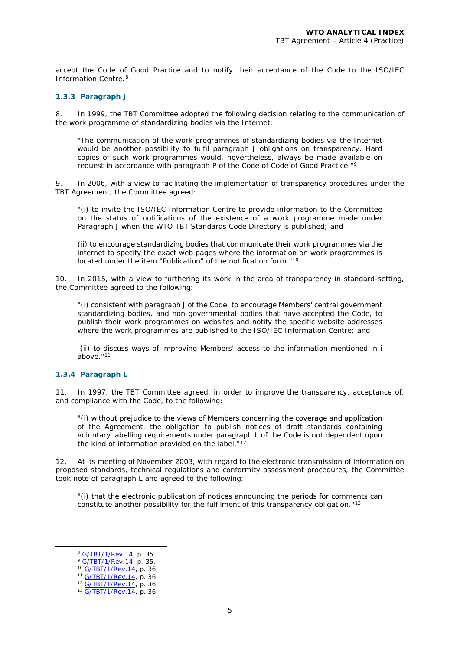accept the Code of Good Practice and to notify their acceptance of the Code to the ISO/IEC Information Centre.<sup>[8](#page-4-2)</sup>

## <span id="page-4-0"></span>**1.3.3 Paragraph J**

8. In 1999, the TBT Committee adopted the following decision relating to the communication of the work programme of standardizing bodies via the Internet:

"The communication of the work programmes of standardizing bodies via the Internet would be another possibility to fulfil paragraph J obligations on transparency. Hard copies of such work programmes would, nevertheless, always be made available on request in accordance with paragraph P of the Code of Code of Good Practice."[9](#page-4-3)

9. In 2006, with a view to facilitating the implementation of transparency procedures under the TBT Agreement, the Committee agreed:

"(i) to invite the ISO/IEC Information Centre to provide information to the Committee on the status of notifications of the existence of a work programme made under Paragraph J when the WTO TBT Standards Code Directory is published; and

(ii) to encourage standardizing bodies that communicate their work programmes via the internet to specify the exact web pages where the information on work programmes is located under the item "Publication" of the notification form."[10](#page-4-4)

10. In 2015, with a view to furthering its work in the area of transparency in standard-setting, the Committee agreed to the following:

"(i) consistent with paragraph J of the Code, to encourage Members' central government standardizing bodies, and non-governmental bodies that have accepted the Code, to publish their work programmes on websites and notify the specific website addresses where the work programmes are published to the ISO/IEC Information Centre; and

(ii) to discuss ways of improving Members' access to the information mentioned in *i* above."[11](#page-4-5)

## <span id="page-4-1"></span>**1.3.4 Paragraph L**

11. In 1997, the TBT Committee agreed, in order to improve the transparency, acceptance of, and compliance with the Code, to the following:

"(i) without prejudice to the views of Members concerning the coverage and application of the Agreement, the obligation to publish notices of draft standards containing voluntary labelling requirements under paragraph L of the Code is not dependent upon the kind of information provided on the label."<sup>[12](#page-4-6)</sup>

12. At its meeting of November 2003, with regard to the electronic transmission of information on proposed standards, technical regulations and conformity assessment procedures, the Committee took note of paragraph L and agreed to the following:

"(i) that the electronic publication of notices announcing the periods for comments can constitute another possibility for the fulfilment of this transparency obligation."[13](#page-4-7)

<sup>&</sup>lt;sup>8</sup> [G/TBT/1/Rev.14,](https://www.google.com/url?sa=t&rct=j&q=&esrc=s&source=web&cd=&ved=2ahUKEwi8sfvK9-fwAhVNtaQKHfx2BJIQFjABegQIBRAD&url=https%3A%2F%2Fdocs.wto.org%2Fdol2fe%2FPages%2FSS%2Fdirectdoc.aspx%3Ffilename%3Dq%3A%2FG%2FTBT%2F1R14.pdf&usg=AOvVaw1s1kCM0hNn9QifnXiFJNmO) p. 35.

<span id="page-4-4"></span><span id="page-4-3"></span><span id="page-4-2"></span><sup>&</sup>lt;sup>9</sup> G/T<u>BT/1/Rev.14</u>, p. 35.

<sup>&</sup>lt;sup>10</sup> G/TBT/<u>1/Rev.14</u>, p. 36.

<span id="page-4-5"></span><sup>&</sup>lt;sup>11</sup> [G/TBT/1/Rev.14,](https://www.google.com/url?sa=t&rct=j&q=&esrc=s&source=web&cd=&ved=2ahUKEwi8sfvK9-fwAhVNtaQKHfx2BJIQFjABegQIBRAD&url=https%3A%2F%2Fdocs.wto.org%2Fdol2fe%2FPages%2FSS%2Fdirectdoc.aspx%3Ffilename%3Dq%3A%2FG%2FTBT%2F1R14.pdf&usg=AOvVaw1s1kCM0hNn9QifnXiFJNmO) p. 36.

<span id="page-4-7"></span><span id="page-4-6"></span><sup>&</sup>lt;sup>12</sup> G/<u>TBT/1/Rev.14</u>, p. 36.

<sup>13</sup> [G/TBT/1/Rev.14,](https://www.google.com/url?sa=t&rct=j&q=&esrc=s&source=web&cd=&ved=2ahUKEwi8sfvK9-fwAhVNtaQKHfx2BJIQFjABegQIBRAD&url=https%3A%2F%2Fdocs.wto.org%2Fdol2fe%2FPages%2FSS%2Fdirectdoc.aspx%3Ffilename%3Dq%3A%2FG%2FTBT%2F1R14.pdf&usg=AOvVaw1s1kCM0hNn9QifnXiFJNmO) p. 36.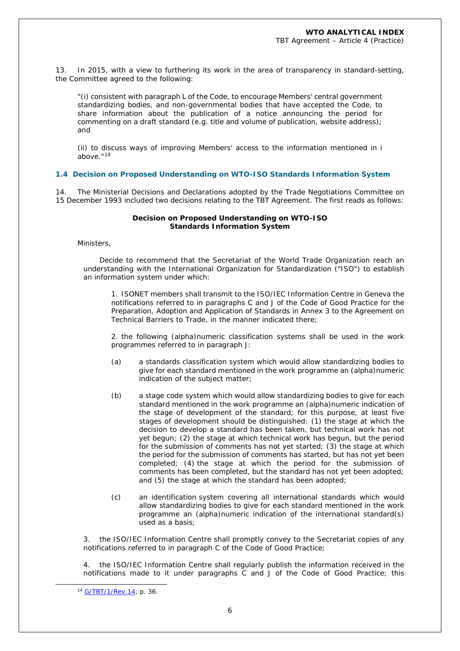13. In 2015, with a view to furthering its work in the area of transparency in standard-setting, the Committee agreed to the following:

"(i) consistent with paragraph L of the Code, to encourage Members' central government standardizing bodies, and non-governmental bodies that have accepted the Code, to share information about the publication of a notice announcing the period for commenting on a draft standard (e.g. title and volume of publication, website address); and

(ii) to discuss ways of improving Members' access to the information mentioned in *i* above."[14](#page-5-1)

### <span id="page-5-0"></span>**1.4 Decision on Proposed Understanding on WTO-ISO Standards Information System**

14. The Ministerial Decisions and Declarations adopted by the Trade Negotiations Committee on 15 December 1993 included two decisions relating to the TBT Agreement. The first reads as follows:

#### **Decision on Proposed Understanding on WTO-ISO Standards Information System**

#### *Ministers,*

*Decide* to recommend that the Secretariat of the World Trade Organization reach an understanding with the International Organization for Standardization ("ISO") to establish an information system under which:

1. ISONET members shall transmit to the ISO/IEC Information Centre in Geneva the notifications referred to in paragraphs C and J of the Code of Good Practice for the Preparation, Adoption and Application of Standards in Annex 3 to the Agreement on Technical Barriers to Trade, in the manner indicated there;

2. the following (alpha)numeric classification systems shall be used in the work programmes referred to in paragraph J:

- (a) *a standards classification system* which would allow standardizing bodies to give for each standard mentioned in the work programme an (alpha)numeric indication of the subject matter;
- (b) *a stage code system* which would allow standardizing bodies to give for each standard mentioned in the work programme an (alpha)numeric indication of the stage of development of the standard; for this purpose, at least five stages of development should be distinguished: (1) the stage at which the decision to develop a standard has been taken, but technical work has not yet begun; (2) the stage at which technical work has begun, but the period for the submission of comments has not yet started; (3) the stage at which the period for the submission of comments has started, but has not yet been completed; (4) the stage at which the period for the submission of comments has been completed, but the standard has not yet been adopted; and (5) the stage at which the standard has been adopted;
- (c) *an identification system* covering all international standards which would allow standardizing bodies to give for each standard mentioned in the work programme an (alpha)numeric indication of the international standard(s) used as a basis;

3. the ISO/IEC Information Centre shall promptly convey to the Secretariat copies of any notifications referred to in paragraph C of the Code of Good Practice;

4. the ISO/IEC Information Centre shall regularly publish the information received in the notifications made to it under paragraphs C and J of the Code of Good Practice; this

<span id="page-5-1"></span><sup>&</sup>lt;sup>14</sup> [G/TBT/1/Rev.14,](https://www.google.com/url?sa=t&rct=j&q=&esrc=s&source=web&cd=&ved=2ahUKEwi8sfvK9-fwAhVNtaQKHfx2BJIQFjABegQIBRAD&url=https%3A%2F%2Fdocs.wto.org%2Fdol2fe%2FPages%2FSS%2Fdirectdoc.aspx%3Ffilename%3Dq%3A%2FG%2FTBT%2F1R14.pdf&usg=AOvVaw1s1kCM0hNn9QifnXiFJNmO) p. 36.